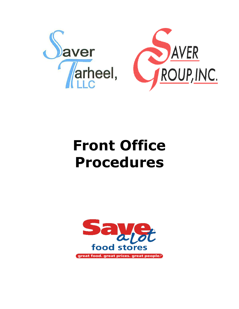



# **Front Office Procedures**

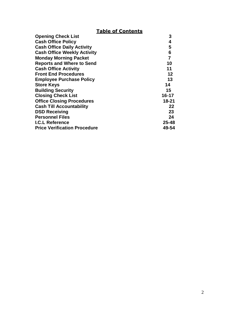#### **Table of Contents**

| <b>Opening Check List</b>           | 3              |
|-------------------------------------|----------------|
| <b>Cash Office Policy</b>           | 4              |
| <b>Cash Office Daily Activity</b>   | 5              |
| <b>Cash Office Weekly Activity</b>  | 6              |
| <b>Monday Morning Packet</b>        | $\overline{7}$ |
| <b>Reports and Where to Send</b>    | 10             |
| <b>Cash Office Activity</b>         | 11             |
| <b>Front End Procedures</b>         | 12             |
| <b>Employee Purchase Policy</b>     | 13             |
| <b>Store Keys</b>                   | 14             |
| <b>Building Security</b>            | 15             |
| <b>Closing Check List</b>           | $16 - 17$      |
| <b>Office Closing Procedures</b>    | $18 - 21$      |
| <b>Cash Till Accountability</b>     | 22             |
| <b>DSD Receiving</b>                | 23             |
| <b>Personnel Files</b>              | 24             |
| <b>I.C.L Reference</b>              | $25 - 48$      |
| <b>Price Verification Procedure</b> | 49-54          |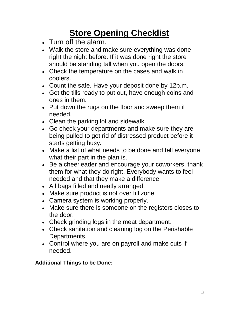# **Store Opening Checklist**

- Turn off the alarm.
- Walk the store and make sure everything was done right the night before. If it was done right the store should be standing tall when you open the doors.
- Check the temperature on the cases and walk in coolers.
- Count the safe. Have your deposit done by 12p.m.
- Get the tills ready to put out, have enough coins and ones in them.
- Put down the rugs on the floor and sweep them if needed.
- Clean the parking lot and sidewalk.
- Go check your departments and make sure they are being pulled to get rid of distressed product before it starts getting busy.
- Make a list of what needs to be done and tell everyone what their part in the plan is.
- Be a cheerleader and encourage your coworkers, thank them for what they do right. Everybody wants to feel needed and that they make a difference.
- All bags filled and neatly arranged.
- Make sure product is not over fill zone.
- Camera system is working properly.
- Make sure there is someone on the registers closes to the door.
- Check grinding logs in the meat department.
- Check sanitation and cleaning log on the Perishable Departments.
- Control where you are on payroll and make cuts if needed.

**Additional Things to be Done:**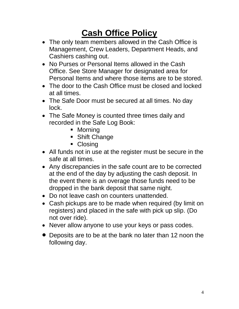# **Cash Office Policy**

- The only team members allowed in the Cash Office is Management, Crew Leaders, Department Heads, and Cashiers cashing out.
- No Purses or Personal Items allowed in the Cash Office. See Store Manager for designated area for Personal Items and where those items are to be stored.
- The door to the Cash Office must be closed and locked at all times.
- The Safe Door must be secured at all times. No day lock.
- The Safe Money is counted three times daily and recorded in the Safe Log Book:
	- Morning
	- **Shift Change**
	- Closing
- All funds not in use at the register must be secure in the safe at all times.
- Any discrepancies in the safe count are to be corrected at the end of the day by adjusting the cash deposit. In the event there is an overage those funds need to be dropped in the bank deposit that same night.
- Do not leave cash on counters unattended.
- Cash pickups are to be made when required (by limit on registers) and placed in the safe with pick up slip. (Do not over ride).
- Never allow anyone to use your keys or pass codes.
- Deposits are to be at the bank no later than 12 noon the following day.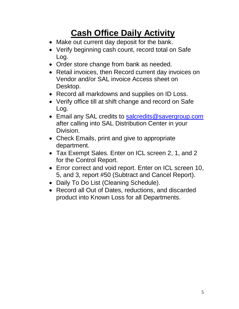# **Cash Office Daily Activity**

- Make out current day deposit for the bank.
- Verify beginning cash count, record total on Safe Log.
- Order store change from bank as needed.
- Retail invoices, then Record current day invoices on Vendor and/or SAL invoice Access sheet on Desktop.
- Record all markdowns and supplies on ID Loss.
- Verify office till at shift change and record on Safe Log.
- **Email any SAL credits to [salcredits@savergroup.com](mailto:salcredits@savergroup.com)** after calling into SAL Distribution Center in your Division.
- Check Emails, print and give to appropriate department.
- Tax Exempt Sales. Enter on ICL screen 2, 1, and 2 for the Control Report.
- Error correct and void report. Enter on ICL screen 10, 5, and 3, report #50 (Subtract and Cancel Report).
- Daily To Do List (Cleaning Schedule).
- Record all Out of Dates, reductions, and discarded product into Known Loss for all Departments.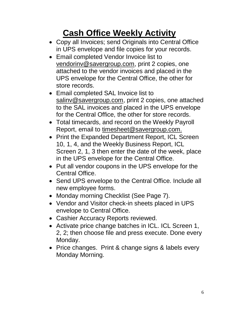# **Cash Office Weekly Activity**

- Copy all Invoices; send Originals into Central Office in UPS envelope and file copies for your records.
- Email completed Vendor Invoice list to vendorinv@savergroup.com, print 2 copies, one attached to the vendor invoices and placed in the UPS envelope for the Central Office, the other for store records.
- Email completed SAL Invoice list to salinv@savergroup.com, print 2 copies, one attached to the SAL invoices and placed in the UPS envelope for the Central Office, the other for store records.
- Total timecards, and record on the Weekly Payroll Report, email to timesheet@savergroup.com.
- Print the Expanded Department Report, ICL Screen 10, 1, 4, and the Weekly Business Report, ICL Screen 2, 1, 3 then enter the date of the week, place in the UPS envelope for the Central Office.
- Put all vendor coupons in the UPS envelope for the Central Office.
- Send UPS envelope to the Central Office. Include all new employee forms.
- Monday morning Checklist (See Page 7).
- Vendor and Visitor check-in sheets placed in UPS envelope to Central Office.
- Cashier Accuracy Reports reviewed.
- Activate price change batches in ICL. ICL Screen 1, 2, 2; then choose file and press execute. Done every Monday.
- Price changes. Print & change signs & labels every Monday Morning.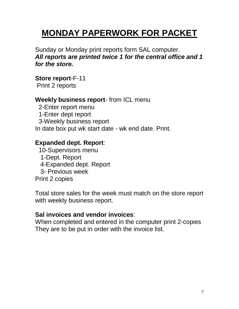# **MONDAY PAPERWORK FOR PACKET**

Sunday or Monday print reports form SAL computer. *All reports are printed twice 1 for the central office and 1 for the store.*

**Store report**-F-11 Print 2 reports

#### **Weekly business report**- from ICL menu

 2-Enter report menu 1-Enter dept report 3-Weekly business report In date box put wk start date - wk end date. Print.

#### **Expanded dept. Report**:

 10-Supervisors menu 1-Dept. Report 4-Expanded dept. Report 3- Previous week Print 2 copies

Total store sales for the week must match on the store report with weekly business report.

#### **Sal invoices and vendor invoices**:

When completed and entered in the computer print 2-copies They are to be put in order with the invoice list.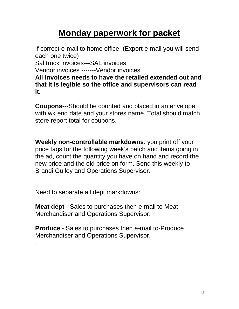## **Monday paperwork for packet**

If correct e-mail to home office. (Export e-mail you will send each one twice)

Sal truck invoices---SAL invoices

Vendor invoices -------Vendor invoices.

**All invoices needs to have the retailed extended out and that it is legible so the office and supervisors can read it.**

**Coupons**---Should be counted and placed in an envelope with wk end date and your stores name. Total should match store report total for coupons.

**Weekly non-controllable markdowns**: you print off your price tags for the following week's batch and items going in the ad, count the quantity you have on hand and record the new price and the old price on form. Send this weekly to Brandi Gulley and Operations Supervisor.

Need to separate all dept markdowns:

.

**Meat dept** - Sales to purchases then e-mail to Meat Merchandiser and Operations Supervisor.

**Produce** - Sales to purchases then e-mail to-Produce Merchandiser and Operations Supervisor.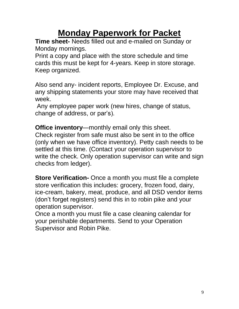## **Monday Paperwork for Packet**

**Time sheet-** Needs filled out and e-mailed on Sunday or Monday mornings.

Print a copy and place with the store schedule and time cards this must be kept for 4-years. Keep in store storage. Keep organized.

Also send any- incident reports, Employee Dr. Excuse, and any shipping statements your store may have received that week.

Any employee paper work (new hires, change of status, change of address, or par's).

**Office inventory**—monthly email only this sheet. Check register from safe must also be sent in to the office (only when we have office inventory). Petty cash needs to be settled at this time. (Contact your operation supervisor to write the check. Only operation supervisor can write and sign checks from ledger).

**Store Verification-** Once a month you must file a complete store verification this includes: grocery, frozen food, dairy, ice-cream, bakery, meat, produce, and all DSD vendor items (don't forget registers) send this in to robin pike and your operation supervisor.

Once a month you must file a case cleaning calendar for your perishable departments. Send to your Operation Supervisor and Robin Pike.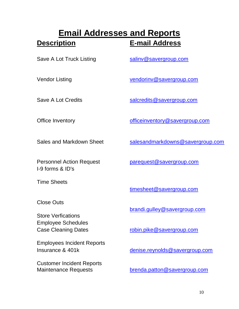## **Email Addresses and Reports Description E-mail Address**

Save A Lot Truck Listing saliny@savergroup.com

Vendor Listing [vendorinv@savergroup.com](mailto:vendorinv@savergroup.com)

Save A Lot Credits [salcredits@savergroup.com](mailto:salcredits@savergroup.com)

Office Inventory entries and the [officeinventory@savergroup.com](mailto:officeinventory@savergroup.com)

I-9 forms & ID's

Time Sheets

Sales and Markdown Sheet [salesandmarkdowns@savergroup.com](mailto:salesandmarkdowns@savergroup.com)

Personnel Action Request **[parequest@savergroup.com](mailto:parequest@savergroup.com)** 

[timesheet@savergroup.com](mailto:timesheet@savergroup.com)

Close Outs

Store Verfications Employee Schedules

Employees Incident Reports

Customer Incident Reports

[brandi.gulley@savergroup.com](mailto:brandi.gulley@savergroup.com)

Case Cleaning Dates **[robin.pike@savergroup.com](mailto:robin.pike@savergroup.com)** 

Insurance & 401k [denise.reynolds@savergroup.com](mailto:denise.reynolds@savergroup.com)

Maintenance Requests [brenda.patton@savergroup.com](mailto:brenda.patton@savergroup.com)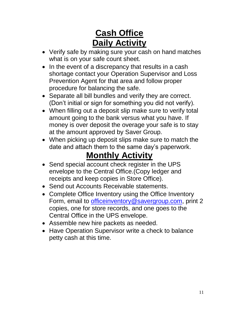## **Cash Office Daily Activity**

- Verify safe by making sure your cash on hand matches what is on your safe count sheet.
- In the event of a discrepancy that results in a cash shortage contact your Operation Supervisor and Loss Prevention Agent for that area and follow proper procedure for balancing the safe.
- Separate all bill bundles and verify they are correct. (Don't initial or sign for something you did not verify).
- When filling out a deposit slip make sure to verify total amount going to the bank versus what you have. If money is over deposit the overage your safe is to stay at the amount approved by Saver Group.
- When picking up deposit slips make sure to match the date and attach them to the same day's paperwork.

# **Monthly Activity**

- Send special account check register in the UPS envelope to the Central Office.(Copy ledger and receipts and keep copies in Store Office).
- Send out Accounts Receivable statements.
- Complete Office Inventory using the Office Inventory Form, email to *officeinventory@savergroup.com*, print 2 copies, one for store records, and one goes to the Central Office in the UPS envelope.
- Assemble new hire packets as needed.
- Have Operation Supervisor write a check to balance petty cash at this time.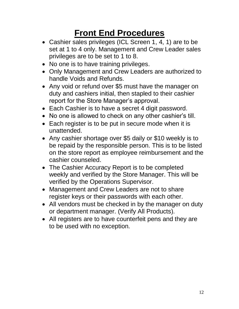# **Front End Procedures**

- Cashier sales privileges (ICL Screen 1, 4, 1) are to be set at 1 to 4 only. Management and Crew Leader sales privileges are to be set to 1 to 8.
- No one is to have training privileges.
- Only Management and Crew Leaders are authorized to handle Voids and Refunds.
- Any void or refund over \$5 must have the manager on duty and cashiers initial, then stapled to their cashier report for the Store Manager's approval.
- Each Cashier is to have a secret 4 digit password.
- No one is allowed to check on any other cashier's till.
- Each register is to be put in secure mode when it is unattended.
- Any cashier shortage over \$5 daily or \$10 weekly is to be repaid by the responsible person. This is to be listed on the store report as employee reimbursement and the cashier counseled.
- The Cashier Accuracy Report is to be completed weekly and verified by the Store Manager. This will be verified by the Operations Supervisor.
- Management and Crew Leaders are not to share register keys or their passwords with each other.
- All vendors must be checked in by the manager on duty or department manager. (Verify All Products).
- All registers are to have counterfeit pens and they are to be used with no exception.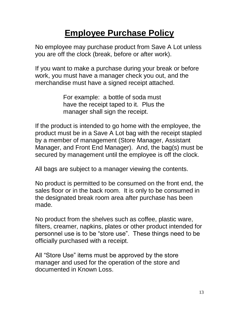## **Employee Purchase Policy**

No employee may purchase product from Save A Lot unless you are off the clock (break, before or after work).

If you want to make a purchase during your break or before work, you must have a manager check you out, and the merchandise must have a signed receipt attached.

> For example: a bottle of soda must have the receipt taped to it. Plus the manager shall sign the receipt.

If the product is intended to go home with the employee, the product must be in a Save A Lot bag with the receipt stapled by a member of management (Store Manager, Assistant Manager, and Front End Manager). And, the bag(s) must be secured by management until the employee is off the clock.

All bags are subject to a manager viewing the contents.

No product is permitted to be consumed on the front end, the sales floor or in the back room. It is only to be consumed in the designated break room area after purchase has been made.

No product from the shelves such as coffee, plastic ware, filters, creamer, napkins, plates or other product intended for personnel use is to be "store use". These things need to be officially purchased with a receipt.

All "Store Use" items must be approved by the store manager and used for the operation of the store and documented in Known Loss.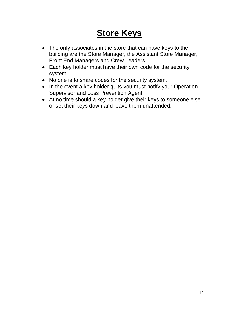# **Store Keys**

- The only associates in the store that can have keys to the building are the Store Manager, the Assistant Store Manager, Front End Managers and Crew Leaders.
- Each key holder must have their own code for the security system.
- No one is to share codes for the security system.
- In the event a key holder quits you must notify your Operation Supervisor and Loss Prevention Agent.
- At no time should a key holder give their keys to someone else or set their keys down and leave them unattended.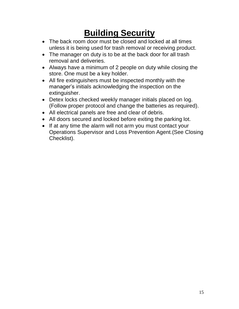# **Building Security**

- The back room door must be closed and locked at all times unless it is being used for trash removal or receiving product.
- The manager on duty is to be at the back door for all trash removal and deliveries.
- Always have a minimum of 2 people on duty while closing the store. One must be a key holder.
- All fire extinguishers must be inspected monthly with the manager's initials acknowledging the inspection on the extinguisher.
- Detex locks checked weekly manager initials placed on log. (Follow proper protocol and change the batteries as required).
- All electrical panels are free and clear of debris.
- All doors secured and locked before exiting the parking lot.
- If at any time the alarm will not arm you must contact your Operations Supervisor and Loss Prevention Agent.(See Closing Checklist).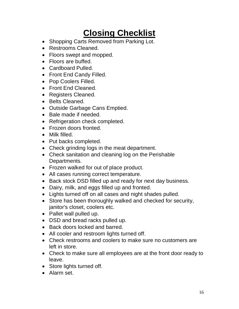# **Closing Checklist**

- Shopping Carts Removed from Parking Lot.
- Restrooms Cleaned.
- Floors swept and mopped.
- Floors are buffed.
- Cardboard Pulled.
- Front End Candy Filled.
- Pop Coolers Filled.
- Front End Cleaned.
- Registers Cleaned.
- Belts Cleaned.
- Outside Garbage Cans Emptied.
- Bale made if needed.
- Refrigeration check completed.
- Frozen doors fronted.
- Milk filled.
- Put backs completed.
- Check grinding logs in the meat department.
- Check sanitation and cleaning log on the Perishable Departments.
- Frozen walked for out of place product.
- All cases running correct temperature.
- Back stock DSD filled up and ready for next day business.
- Dairy, milk, and eggs filled up and fronted.
- Lights turned off on all cases and night shades pulled.
- Store has been thoroughly walked and checked for security, janitor's closet, coolers etc.
- Pallet wall pulled up.
- DSD and bread racks pulled up.
- Back doors locked and barred.
- All cooler and restroom lights turned off.
- Check restrooms and coolers to make sure no customers are left in store.
- Check to make sure all employees are at the front door ready to leave.
- Store lights turned off.
- Alarm set.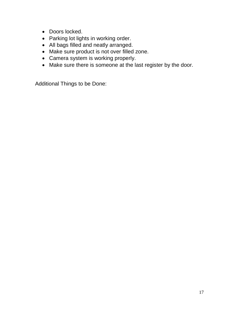- Doors locked.
- Parking lot lights in working order.
- All bags filled and neatly arranged.
- Make sure product is not over filled zone.
- Camera system is working properly.
- Make sure there is someone at the last register by the door.

Additional Things to be Done: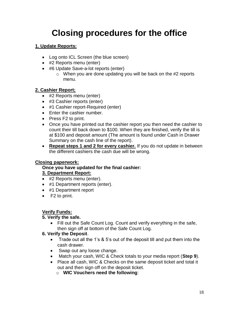## **Closing procedures for the office**

#### **1. Update Reports:**

- Log onto ICL Screen (the blue screen)
- #2 Reports menu (enter)
- #6 Update Save-a-lot reports (enter)
	- $\circ$  When you are done updating you will be back on the #2 reports menu.

#### **2. Cashier Report;**

- #2 Reports menu (enter)
- #3 Cashier reports (enter)
- #1 Cashier report-Required (enter)
- Enter the cashier number.
- Press F2 to print.
- Once you have printed out the cashier report you then need the cashier to count their till back down to \$100. When they are finished, verify the till is at \$100 and deposit amount (The amount is found under Cash in Drawer Summary on the cash line of the report).
- **Repeat steps 1 and 2 for every cashier.** If you do not update in between the different cashiers the cash due will be wrong.

#### **Closing paperwork:**

#### **Once you have updated for the final cashier: 3. Department Report:**

- #2 Reports menu (enter).
- #1 Department reports (enter).
- #1 Department report
- F2 to print.

#### **Verify Funds:**

#### **5. Verify the safe.**

• Fill out the Safe Count Log. Count and verify everything in the safe, then sign off at bottom of the Safe Count Log.

#### **6. Verify the Deposit**.

- Trade out all the 1's & 5's out of the deposit till and put them into the cash drawer.
- Swap out any loose change.
- Match your cash, WIC & Check totals to your media report (**Step 9**).
- Place all cash, WIC & Checks on the same deposit ticket and total it out and then sign off on the deposit ticket.
	- o **WIC Vouchers need the following**: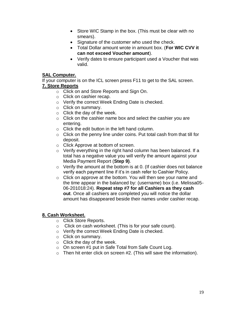- Store WIC Stamp in the box. (This must be clear with no smears).
- Signature of the customer who used the check.
- Total Dollar amount wrote in amount box. (**For WIC CVV it can not exceed Voucher amount**).
- Verify dates to ensure participant used a Voucher that was valid.

#### **SAL Computer.**

If your computer is on the ICL screen press F11 to get to the SAL screen. **7. Store Reports**

- o Click on and Store Reports and Sign On.
- o Click on cashier recap.
- o Verify the correct Week Ending Date is checked.
- o Click on summary.
- $\circ$  Click the day of the week.
- o Click on the cashier name box and select the cashier you are entering.
- o Click the edit button in the left hand column.
- o Click on the penny line under coins. Put total cash from that till for deposit.
- o Click Approve at bottom of screen.
- $\circ$  Verify everything in the right hand column has been balanced. If a total has a negative value you will verify the amount against your Media Payment Report (**Step 9)**.
- $\circ$  Verify the amount at the bottom is at 0. (If cashier does not balance verify each payment line if it's in cash refer to Cashier Policy.
- o Click on approve at the bottom. You will then see your name and the time appear in the balanced by: (username) box (i.e. Melissa05- 06-201018:24). **Repeat step #7 for all Cashiers as they cash out**. Once all cashiers are completed you will notice the dollar amount has disappeared beside their names under cashier recap.

#### **8. Cash Worksheet.**

- o Click Store Reports.
- o Click on cash worksheet. (This is for your safe count).
- o Verify the correct Week Ending Date is checked.
- o Click on summary.
- $\circ$  Click the day of the week.
- o On screen #1 put in Safe Total from Safe Count Log.
- $\circ$  Then hit enter click on screen #2. (This will save the information).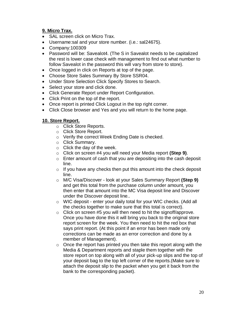#### **9. Micro Trax.**

- SAL screen click on Micro Trax.
- Username:sal and your store number. (i.e.: sal24675).
- Company:100309
- Password will be: Savealot4. (The S in Savealot needs to be capitalized the rest is lower case check with management to find out what number to follow Savealot in the password this will vary from store to store).
- Once logged in click on Reports at top of the page.
- Choose Store Sales Summary By Store SSR04.
- Under Store Selection Click Specify Stores to Search.
- Select your store and click done.
- Click Generate Report under Report Configuration.
- Click Print on the top of the report.
- Once report is printed Click Logout in the top right corner.
- Click Close browser and Yes and you will return to the home page.

#### **10. Store Report.**

- o Click Store Reports.
- o Click Store Report.
- o Verify the correct Week Ending Date is checked.
- o Click Summary.
- $\circ$  Click the day of the week.
- o Click on screen #4 you will need your Media report **(Step 9)**.
- $\circ$  Enter amount of cash that you are depositing into the cash deposit line.
- $\circ$  If you have any checks then put this amount into the check deposit line.
- o M/C Visa/Discover look at your Sales Summary Report **(Step 9)** and get this total from the purchase column under amount, you then enter that amount into the MC Visa deposit line and Discover under the Discover deposit line..
- o WIC deposit enter your daily total for your WIC checks. (Add all the checks together to make sure that this total is correct).
- $\circ$  Click on screen #5 you will then need to hit the signoff/approve. Once you have done this it will bring you back to the original store report screen for the week. You then need to hit the red box that says print report. (At this point if an error has been made only corrections can be made as an error correction and done by a member of Management).
- $\circ$  Once the report has printed you then take this report along with the Media & Department reports and staple them together with the store report on top along with all of your pick-up slips and the top of your deposit bag to the top left corner of the reports.(Make sure to attach the deposit slip to the packet when you get it back from the bank to the corresponding packet).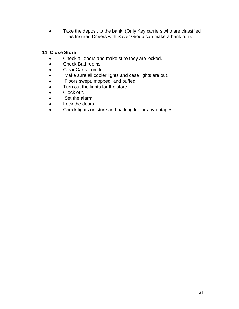• Take the deposit to the bank. (Only Key carriers who are classified as Insured Drivers with Saver Group can make a bank run).

#### **11. Close Store**

- Check all doors and make sure they are locked.
- Check Bathrooms.
- Clear Carts from lot.
- Make sure all cooler lights and case lights are out.
- Floors swept, mopped, and buffed.
- Turn out the lights for the store.
- Clock out.
- Set the alarm.
- Lock the doors.
- Check lights on store and parking lot for any outages.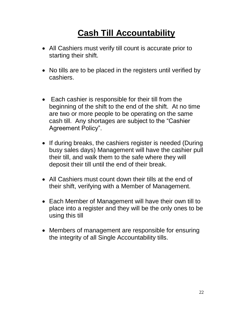# **Cash Till Accountability**

- All Cashiers must verify till count is accurate prior to starting their shift.
- No tills are to be placed in the registers until verified by cashiers.
- Each cashier is responsible for their till from the beginning of the shift to the end of the shift. At no time are two or more people to be operating on the same cash till. Any shortages are subject to the "Cashier Agreement Policy".
- If during breaks, the cashiers register is needed (During busy sales days) Management will have the cashier pull their till, and walk them to the safe where they will deposit their till until the end of their break.
- All Cashiers must count down their tills at the end of their shift, verifying with a Member of Management.
- Each Member of Management will have their own till to place into a register and they will be the only ones to be using this till
- Members of management are responsible for ensuring the integrity of all Single Accountability tills.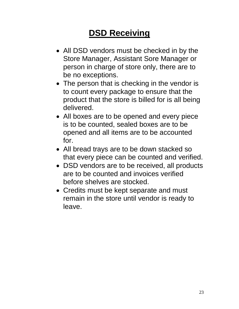# **DSD Receiving**

- All DSD vendors must be checked in by the Store Manager, Assistant Sore Manager or person in charge of store only, there are to be no exceptions.
- The person that is checking in the vendor is to count every package to ensure that the product that the store is billed for is all being delivered.
- All boxes are to be opened and every piece is to be counted, sealed boxes are to be opened and all items are to be accounted for.
- All bread trays are to be down stacked so that every piece can be counted and verified.
- DSD vendors are to be received, all products are to be counted and invoices verified before shelves are stocked.
- Credits must be kept separate and must remain in the store until vendor is ready to leave.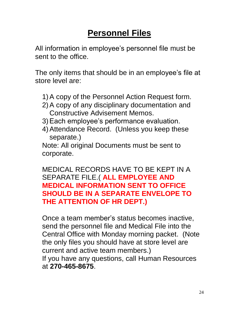## **Personnel Files**

All information in employee's personnel file must be sent to the office.

The only items that should be in an employee's file at store level are:

- 1)A copy of the Personnel Action Request form.
- 2)A copy of any disciplinary documentation and Constructive Advisement Memos.
- 3)Each employee's performance evaluation.
- 4)Attendance Record. (Unless you keep these separate.)

Note: All original Documents must be sent to corporate.

MEDICAL RECORDS HAVE TO BE KEPT IN A SEPARATE FILE.( **ALL EMPLOYEE AND MEDICAL INFORMATION SENT TO OFFICE SHOULD BE IN A SEPARATE ENVELOPE TO THE ATTENTION OF HR DEPT.)**

Once a team member's status becomes inactive, send the personnel file and Medical File into the Central Office with Monday morning packet. (Note the only files you should have at store level are current and active team members.) If you have any questions, call Human Resources at **270-465-8675**.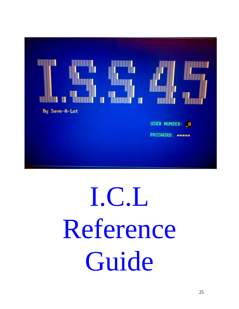

# I.C.L Reference Guide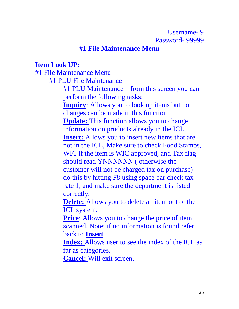#### **#1 File Maintenance Menu**

#### **Item Look UP:**

#1 File Maintenance Menu

#1 PLU File Maintenance

#1 PLU Maintenance – from this screen you can perform the following tasks:

**Inquiry**: Allows you to look up items but no changes can be made in this function

**Update:** This function allows you to change information on products already in the ICL.

**Insert:** Allows you to insert new items that are not in the ICL, Make sure to check Food Stamps,

WIC if the item is WIC approved, and Tax flag should read YNNNNNN ( otherwise the customer will not be charged tax on purchase) do this by hitting F8 using space bar check tax rate 1, and make sure the department is listed correctly.

**Delete:** Allows you to delete an item out of the ICL system.

**Price**: Allows you to change the price of item scanned. Note: if no information is found refer back to **Insert**.

**Index:** Allows user to see the index of the ICL as far as categories.

**Cancel:** Will exit screen.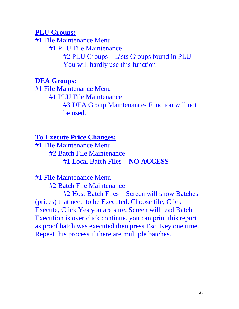#### **PLU Groups:**

#1 File Maintenance Menu #1 PLU File Maintenance #2 PLU Groups – Lists Groups found in PLU-You will hardly use this function

#### **DEA Groups:**

#1 File Maintenance Menu #1 PLU File Maintenance #3 DEA Group Maintenance- Function will not be used.

#### **To Execute Price Changes:**

#1 File Maintenance Menu #2 Batch File Maintenance #1 Local Batch Files – **NO ACCESS**

#1 File Maintenance Menu #2 Batch File Maintenance

#2 Host Batch Files – Screen will show Batches (prices) that need to be Executed. Choose file, Click Execute, Click Yes you are sure, Screen will read Batch Execution is over click continue, you can print this report as proof batch was executed then press Esc. Key one time. Repeat this process if there are multiple batches.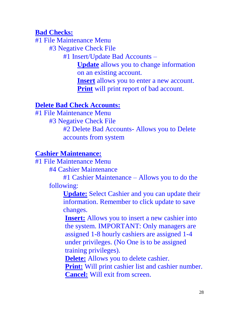#### **Bad Checks:**

#1 File Maintenance Menu #3 Negative Check File #1 Insert/Update Bad Accounts – **Update** allows you to change information on an existing account. **Insert** allows you to enter a new account. **Print** will print report of bad account.

#### **Delete Bad Check Accounts:**

#1 File Maintenance Menu #3 Negative Check File #2 Delete Bad Accounts- Allows you to Delete accounts from system

#### **Cashier Maintenance:**

#1 File Maintenance Menu #4 Cashier Maintenance

> #1 Cashier Maintenance – Allows you to do the following:

> > **Update:** Select Cashier and you can update their information. Remember to click update to save changes.

**Insert:** Allows you to insert a new cashier into the system. IMPORTANT: Only managers are assigned 1-8 hourly cashiers are assigned 1-4 under privileges. (No One is to be assigned training privileges).

**Delete:** Allows you to delete cashier.

**Print:** Will print cashier list and cashier number. **Cancel:** Will exit from screen.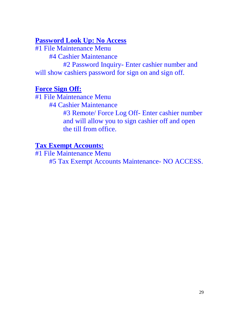#### **Password Look Up: No Access**

#1 File Maintenance Menu #4 Cashier Maintenance #2 Password Inquiry- Enter cashier number and will show cashiers password for sign on and sign off.

#### **Force Sign Off:**

#1 File Maintenance Menu #4 Cashier Maintenance #3 Remote/ Force Log Off- Enter cashier number and will allow you to sign cashier off and open the till from office.

#### **Tax Exempt Accounts:**

#1 File Maintenance Menu #5 Tax Exempt Accounts Maintenance- NO ACCESS.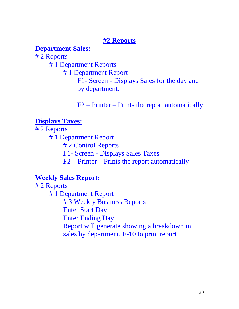#### **#2 Reports**

#### **Department Sales:**

# 2 Reports

# 1 Department Reports

# 1 Department Report

F1- Screen - Displays Sales for the day and by department.

F2 – Printer – Prints the report automatically

## **Displays Taxes:**

# 2 Reports

# 1 Department Report # 2 Control Reports F1- Screen - Displays Sales Taxes F2 – Printer – Prints the report automatically

## **Weekly Sales Report:**

# 2 Reports # 1 Department Report # 3 Weekly Business Reports Enter Start Day Enter Ending Day Report will generate showing a breakdown in sales by department. F-10 to print report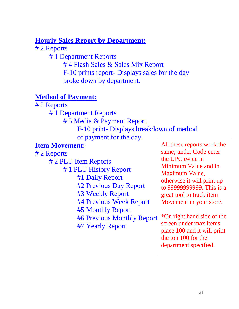#### **Hourly Sales Report by Department:**

# 2 Reports

- # 1 Department Reports
	- # 4 Flash Sales & Sales Mix Report
	- F-10 prints report- Displays sales for the day
	- broke down by department.

## **Method of Payment:**

# 2 Reports # 1 Department Reports # 5 Media & Payment Report F-10 print- Displays breakdown of method of payment for the day. **Item Movement:** # 2 Reports # 2 PLU Item Reports # 1 PLU History Report #1 Daily Report #2 Previous Day Report #3 Weekly Report #4 Previous Week Report #5 Monthly Report #6 Previous Monthly Report All these reports work the same; under Code enter the UPC twice in Minimum Value and in Maximum Value, otherwise it will print up to 99999999999. This is a great tool to track item Movement in your store. \*On right hand side of the

#7 Yearly Report

screen under max items place 100 and it will print the top 100 for the department specified.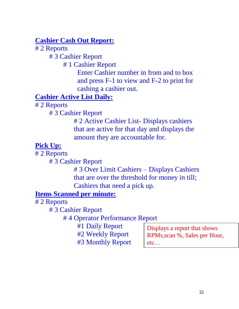#### **Cashier Cash Out Report:**

# 2 Reports

# 3 Cashier Report

# 1 Cashier Report

Enter Cashier number in from and to box and press F-1 to view and F-2 to print for cashing a cashier out.

## **Cashier Active List Daily:**

# 2 Reports

# 3 Cashier Report

# 2 Active Cashier List- Displays cashiers that are active for that day and displays the amount they are accountable for.

## **Pick Up:**

# 2 Reports

# 3 Cashier Report

# 3 Over Limit Cashiers – Displays Cashiers that are over the threshold for money in till; Cashiers that need a pick up.

#### **Items Scanned per minute:**

# 2 Reports

# 3 Cashier Report

# 4 Operator Performance Report

#1 Daily Report

#2 Weekly Report #3 Monthly Report Displays a report that shows RPMs,scan %, Sales per Hour, etc…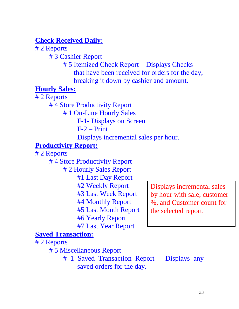## **Check Received Daily:**

# 2 Reports

# 3 Cashier Report

# 5 Itemized Check Report – Displays Checks that have been received for orders for the day, breaking it down by cashier and amount.

#### **Hourly Sales:**

# 2 Reports

# 4 Store Productivity Report

# 1 On-Line Hourly Sales

F-1- Displays on Screen

 $F-2$  – Print

Displays incremental sales per hour.

#### **Productivity Report:**

# 2 Reports

# 4 Store Productivity Report

# 2 Hourly Sales Report

#1 Last Day Report

#2 Weekly Report

#3 Last Week Report

#4 Monthly Report

#5 Last Month Report

#6 Yearly Report

#7 Last Year Report

Displays incremental sales by hour with sale, customer %, and Customer count for the selected report.

## **Saved Transaction:**

# 2 Reports

# 5 Miscellaneous Report

# 1 Saved Transaction Report – Displays any saved orders for the day.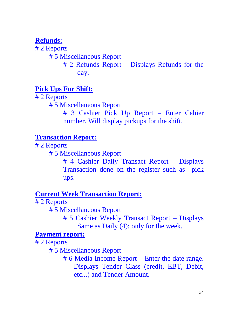#### **Refunds:**

# 2 Reports

# 5 Miscellaneous Report

# 2 Refunds Report – Displays Refunds for the day.

#### **Pick Ups For Shift:**

# 2 Reports

# 5 Miscellaneous Report

# 3 Cashier Pick Up Report – Enter Cahier number. Will display pickups for the shift.

#### **Transaction Report:**

# 2 Reports

# 5 Miscellaneous Report

# 4 Cashier Daily Transact Report – Displays Transaction done on the register such as pick ups.

#### **Current Week Transaction Report:**

# 2 Reports

# 5 Miscellaneous Report

# 5 Cashier Weekly Transact Report – Displays Same as Daily (4); only for the week.

#### **Payment report:**

# 2 Reports

# 5 Miscellaneous Report

# 6 Media Income Report – Enter the date range. Displays Tender Class (credit, EBT, Debit, etc...) and Tender Amount.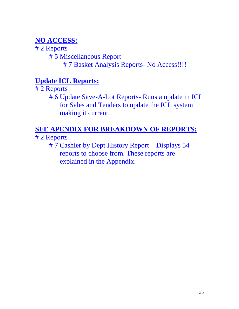## **NO ACCESS:**

# 2 Reports

# 5 Miscellaneous Report

# 7 Basket Analysis Reports- No Access!!!!

#### **Update ICL Reports:**

- # 2 Reports
	- # 6 Update Save-A-Lot Reports- Runs a update in ICL for Sales and Tenders to update the ICL system making it current.

## **SEE APENDIX FOR BREAKDOWN OF REPORTS:**

# 2 Reports

# 7 Cashier by Dept History Report – Displays 54 reports to choose from. These reports are explained in the Appendix.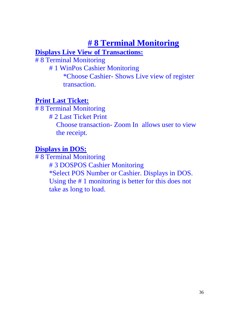## **# 8 Terminal Monitoring**

## **Displays Live View of Transactions:**

# 8 Terminal Monitoring

# 1 WinPos Cashier Monitoring

\*Choose Cashier- Shows Live view of register transaction.

## **Print Last Ticket:**

# 8 Terminal Monitoring

# 2 Last Ticket Print

Choose transaction- Zoom In allows user to view the receipt.

## **Displays in DOS:**

# 8 Terminal Monitoring # 3 DOSPOS Cashier Monitoring \*Select POS Number or Cashier. Displays in DOS. Using the # 1 monitoring is better for this does not take as long to load.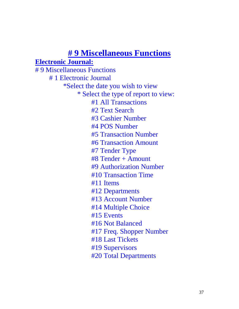## **# 9 Miscellaneous Functions**

**Electronic Journal:**

# 9 Miscellaneous Functions # 1 Electronic Journal \*Select the date you wish to view \* Select the type of report to view: #1 All Transactions #2 Text Search #3 Cashier Number #4 POS Number #5 Transaction Number #6 Transaction Amount #7 Tender Type #8 Tender + Amount #9 Authorization Number #10 Transaction Time #11 Items #12 Departments #13 Account Number #14 Multiple Choice #15 Events #16 Not Balanced #17 Freq. Shopper Number #18 Last Tickets #19 Supervisors #20 Total Departments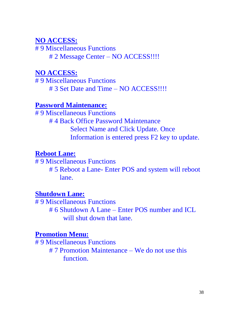#### **NO ACCESS:**

# 9 Miscellaneous Functions # 2 Message Center – NO ACCESS!!!!

#### **NO ACCESS:**

# 9 Miscellaneous Functions # 3 Set Date and Time – NO ACCESS!!!!

#### **Password Maintenance:**

# 9 Miscellaneous Functions # 4 Back Office Password Maintenance Select Name and Click Update. Once Information is entered press F2 key to update.

#### **Reboot Lane:**

# 9 Miscellaneous Functions # 5 Reboot a Lane- Enter POS and system will reboot lane.

#### **Shutdown Lane:**

# 9 Miscellaneous Functions # 6 Shutdown A Lane – Enter POS number and ICL will shut down that lane.

#### **Promotion Menu:**

# 9 Miscellaneous Functions # 7 Promotion Maintenance – We do not use this function.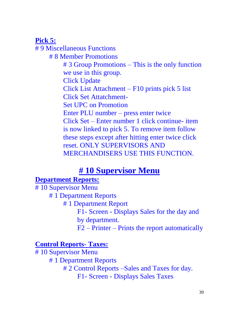#### **Pick 5:**

# 9 Miscellaneous Functions # 8 Member Promotions # 3 Group Promotions – This is the only function we use in this group. Click Update Click List Attachment – F10 prints pick 5 list Click Set Attatchment-Set UPC on Promotion Enter PLU number – press enter twice Click Set – Enter number 1 click continue- item is now linked to pick 5. To remove item follow these steps except after hitting enter twice click reset. ONLY SUPERVISORS AND MERCHANDISERS USE THIS FUNCTION.

## **# 10 Supervisor Menu**

#### **Department Reports:**

# 10 Supervisor Menu # 1 Department Reports # 1 Department Report F1- Screen - Displays Sales for the day and by department. F2 – Printer – Prints the report automatically

#### **Control Reports- Taxes:**

# 10 Supervisor Menu # 1 Department Reports # 2 Control Reports –Sales and Taxes for day. F1- Screen - Displays Sales Taxes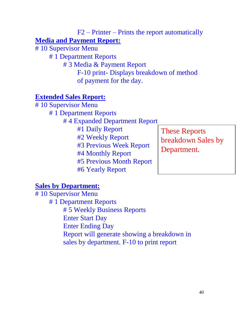## F2 – Printer – Prints the report automatically **Media and Payment Report:**

# 10 Supervisor Menu

# 1 Department Reports

# 3 Media & Payment Report

F-10 print- Displays breakdown of method of payment for the day.

## **Extended Sales Report:**

# 10 Supervisor Menu # 1 Department Reports # 4 Expanded Department Report #1 Daily Report #2 Weekly Report #3 Previous Week Report #4 Monthly Report #5 Previous Month Report #6 Yearly Report Department.

## **Sales by Department:**

# 10 Supervisor Menu # 1 Department Reports # 5 Weekly Business Reports Enter Start Day Enter Ending Day Report will generate showing a breakdown in sales by department. F-10 to print report

These Reports breakdown Sales by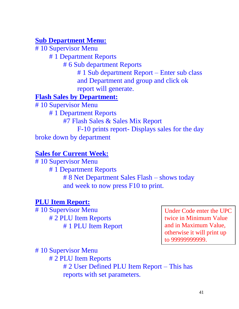#### **Sub Department Menu:**

# 10 Supervisor Menu # 1 Department Reports # 6 Sub department Reports # 1 Sub department Report – Enter sub class and Department and group and click ok report will generate. **Flash Sales by Department:** # 10 Supervisor Menu # 1 Department Reports #7 Flash Sales & Sales Mix Report

F-10 prints report- Displays sales for the day broke down by department

#### **Sales for Current Week:**

# 10 Supervisor Menu # 1 Department Reports # 8 Net Department Sales Flash – shows today and week to now press F10 to print.

#### **PLU Item Report:**

# 10 Supervisor Menu # 2 PLU Item Reports # 1 PLU Item Report

Under Code enter the UPC twice in Minimum Value and in Maximum Value, otherwise it will print up to 99999999999.

# 10 Supervisor Menu # 2 PLU Item Reports # 2 User Defined PLU Item Report – This has reports with set parameters.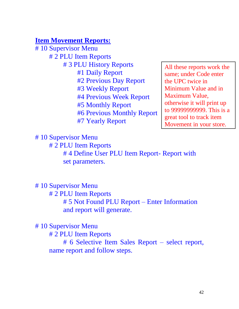#### **Item Movement Reports:**

# 10 Supervisor Menu # 2 PLU Item Reports # 3 PLU History Reports #1 Daily Report #2 Previous Day Report #3 Weekly Report #4 Previous Week Report #5 Monthly Report #6 Previous Monthly Report #7 Yearly Report

All these reports work the same; under Code enter the UPC twice in Minimum Value and in Maximum Value, otherwise it will print up to 99999999999. This is a great tool to track item Movement in your store.

# 10 Supervisor Menu

# 2 PLU Item Reports

# 4 Define User PLU Item Report- Report with set parameters.

# 10 Supervisor Menu # 2 PLU Item Reports # 5 Not Found PLU Report – Enter Information and report will generate.

# 10 Supervisor Menu

# 2 PLU Item Reports

# 6 Selective Item Sales Report – select report, name report and follow steps.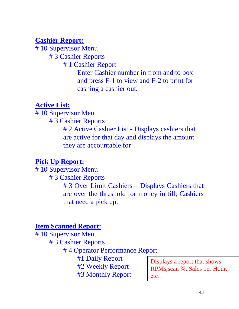#### **Cashier Report:**

# 10 Supervisor Menu # 3 Cashier Reports # 1 Cashier Report Enter Cashier number in from and to box and press F-1 to view and F-2 to print for cashing a cashier out.

#### **Active List:**

# 10 Supervisor Menu

# 3 Cashier Reports

# 2 Active Cashier List - Displays cashiers that are active for that day and displays the amount they are accountable for

#### **Pick Up Report:**

# 10 Supervisor Menu

# 3 Cashier Reports

# 3 Over Limit Cashiers – Displays Cashiers that are over the threshold for money in till; Cashiers that need a pick up.

## **Item Scanned Report:**

# 10 Supervisor Menu

# 3 Cashier Reports

# 4 Operator Performance Report

#1 Daily Report

#2 Weekly Report #3 Monthly Report Displays a report that shows RPMs,scan %, Sales per Hour, etc…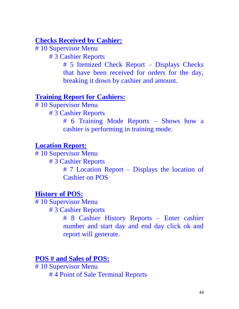#### **Checks Received by Cashier:**

# 10 Supervisor Menu

# 3 Cashier Reports

# 5 Itemized Check Report – Displays Checks that have been received for orders for the day, breaking it down by cashier and amount.

#### **Training Report for Cashiers:**

# 10 Supervisor Menu

# 3 Cashier Reports

# 6 Training Mode Reports – Shows how a cashier is performing in training mode.

#### **Location Report:**

# 10 Supervisor Menu

# 3 Cashier Reports

# 7 Location Report – Displays the location of Cashier on POS

#### **History of POS:**

# 10 Supervisor Menu

# 3 Cashier Reports

# 8 Cashier History Reports – Enter cashier number and start day and end day click ok and report will generate.

#### **POS # and Sales of POS:**

# 10 Supervisor Menu # 4 Point of Sale Terminal Reports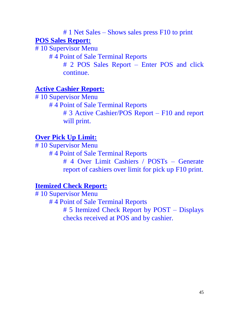# 1 Net Sales – Shows sales press F10 to print **POS Sales Report:** # 10 Supervisor Menu # 4 Point of Sale Terminal Reports # 2 POS Sales Report – Enter POS and click continue.

#### **Active Cashier Report:**

# 10 Supervisor Menu # 4 Point of Sale Terminal Reports # 3 Active Cashier/POS Report – F10 and report will print.

#### **Over Pick Up Limit:**

# 10 Supervisor Menu # 4 Point of Sale Terminal Reports # 4 Over Limit Cashiers / POSTs – Generate report of cashiers over limit for pick up F10 print.

#### **Itemized Check Report:**

# 10 Supervisor Menu # 4 Point of Sale Terminal Reports # 5 Itemized Check Report by POST – Displays checks received at POS and by cashier.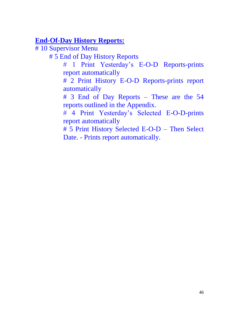#### **End-Of-Day History Reports:**

# 10 Supervisor Menu

# 5 End of Day History Reports

# 1 Print Yesterday's E-O-D Reports-prints report automatically

# 2 Print History E-O-D Reports-prints report automatically

# 3 End of Day Reports – These are the 54 reports outlined in the Appendix.

# 4 Print Yesterday's Selected E-O-D-prints report automatically

# 5 Print History Selected E-O-D – Then Select Date. - Prints report automatically.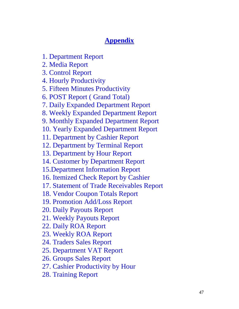#### **Appendix**

- 1. Department Report
- 2. Media Report
- 3. Control Report
- 4. Hourly Productivity
- 5. Fifteen Minutes Productivity
- 6. POST Report ( Grand Total)
- 7. Daily Expanded Department Report
- 8. Weekly Expanded Department Report
- 9. Monthly Expanded Department Report
- 10. Yearly Expanded Department Report
- 11. Department by Cashier Report
- 12. Department by Terminal Report
- 13. Department by Hour Report
- 14. Customer by Department Report
- 15.Department Information Report
- 16. Itemized Check Report by Cashier
- 17. Statement of Trade Receivables Report
- 18. Vendor Coupon Totals Report
- 19. Promotion Add/Loss Report
- 20. Daily Payouts Report
- 21. Weekly Payouts Report
- 22. Daily ROA Report
- 23. Weekly ROA Report
- 24. Traders Sales Report
- 25. Department VAT Report
- 26. Groups Sales Report
- 27. Cashier Productivity by Hour
- 28. Training Report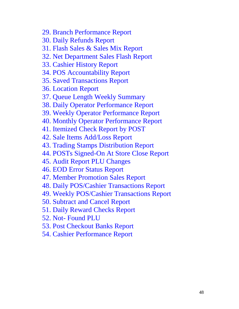29. Branch Performance Report 30. Daily Refunds Report 31. Flash Sales & Sales Mix Report 32. Net Department Sales Flash Report 33. Cashier History Report 34. POS Accountability Report 35. Saved Transactions Report 36. Location Report 37. Queue Length Weekly Summary 38. Daily Operator Performance Report 39. Weekly Operator Performance Report 40. Monthly Operator Performance Report 41. Itemized Check Report by POST 42. Sale Items Add/Loss Report 43. Trading Stamps Distribution Report 44. POSTs Signed-On At Store Close Report 45. Audit Report PLU Changes 46. EOD Error Status Report 47. Member Promotion Sales Report 48. Daily POS/Cashier Transactions Report 49. Weekly POS/Cashier Transactions Report 50. Subtract and Cancel Report 51. Daily Reward Checks Report 52. Not- Found PLU 53. Post Checkout Banks Report 54. Cashier Performance Report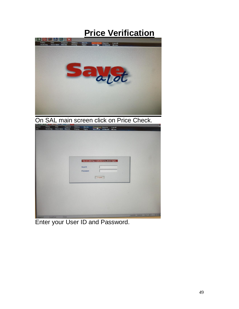## **Price Verification**



On SAL main screen click on Price Check.

| <b>CONTRACTOR</b><br>-Home | Policy.         | <b>FAQ</b>            | <u>the state and the state and the sta</u><br>·Support | <b>Utilities</b> |                        |                                                           |                                        |  |  |
|----------------------------|-----------------|-----------------------|--------------------------------------------------------|------------------|------------------------|-----------------------------------------------------------|----------------------------------------|--|--|
| 4CL                        | <b>Ordering</b> | -Store Rpts -Mail [8] |                                                        | Pricing          | Merch.<br><b>Signs</b> | Price Lincok Reports Log off<br>Microtax S4 WinA/R IDLoss |                                        |  |  |
|                            |                 |                       |                                                        |                  |                        |                                                           |                                        |  |  |
|                            |                 |                       |                                                        |                  |                        |                                                           |                                        |  |  |
|                            |                 |                       |                                                        |                  |                        |                                                           |                                        |  |  |
|                            |                 |                       |                                                        |                  |                        |                                                           |                                        |  |  |
|                            |                 |                       |                                                        |                  |                        |                                                           |                                        |  |  |
|                            |                 |                       |                                                        |                  |                        |                                                           |                                        |  |  |
|                            |                 |                       |                                                        |                  |                        |                                                           |                                        |  |  |
|                            |                 |                       |                                                        |                  |                        |                                                           |                                        |  |  |
|                            |                 |                       |                                                        |                  |                        |                                                           |                                        |  |  |
|                            |                 |                       |                                                        |                  |                        |                                                           |                                        |  |  |
|                            |                 |                       |                                                        |                  |                        | You are entering a restricted area, please logon          |                                        |  |  |
|                            |                 |                       |                                                        |                  |                        |                                                           |                                        |  |  |
|                            |                 |                       |                                                        |                  | <b>User ID</b>         |                                                           |                                        |  |  |
|                            |                 |                       |                                                        |                  | Password               |                                                           |                                        |  |  |
|                            |                 |                       |                                                        |                  |                        |                                                           |                                        |  |  |
|                            |                 |                       |                                                        |                  |                        | Logon                                                     |                                        |  |  |
|                            |                 |                       |                                                        |                  |                        |                                                           |                                        |  |  |
|                            |                 |                       |                                                        |                  |                        |                                                           |                                        |  |  |
|                            |                 |                       |                                                        |                  |                        |                                                           |                                        |  |  |
|                            |                 |                       |                                                        |                  |                        |                                                           |                                        |  |  |
|                            |                 |                       |                                                        |                  |                        |                                                           |                                        |  |  |
|                            |                 |                       |                                                        |                  |                        |                                                           |                                        |  |  |
|                            |                 |                       |                                                        |                  |                        |                                                           |                                        |  |  |
|                            |                 |                       |                                                        |                  |                        |                                                           |                                        |  |  |
|                            |                 |                       |                                                        |                  |                        |                                                           |                                        |  |  |
|                            |                 |                       |                                                        |                  |                        |                                                           |                                        |  |  |
|                            |                 |                       |                                                        |                  |                        |                                                           |                                        |  |  |
|                            |                 |                       |                                                        |                  |                        |                                                           | 00:00:55 00:00:52 Nov 1, 2012 02:15 PM |  |  |
| Longed off                 | LocalHost       |                       | Done                                                   |                  |                        |                                                           |                                        |  |  |

Enter your User ID and Password.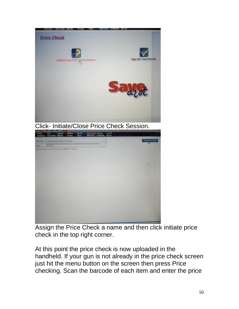

Assign the Price Check a name and then click initiate price check in the top right corner.

At this point the price check is now uploaded in the handheld. If your gun is not already in the price check screen just hit the menu button on the screen then press Price checking. Scan the barcode of each item and enter the price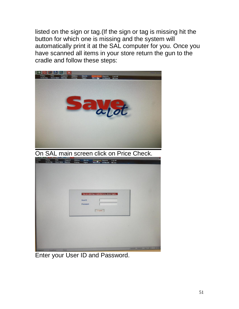listed on the sign or tag.(If the sign or tag is missing hit the button for which one is missing and the system will automatically print it at the SAL computer for you. Once you have scanned all items in your store return the gun to the cradle and follow these steps:



Enter your User ID and Password.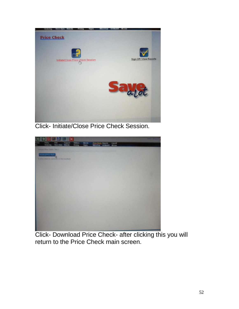

Click- Initiate/Close Price Check Session.



Click- Download Price Check- after clicking this you will return to the Price Check main screen.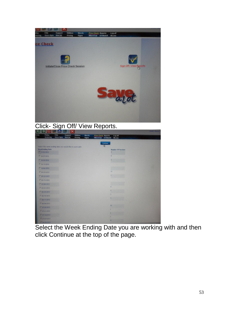



| ∾⊪<br>ויר                                               |                                      | х              |                             |                         |                                                  |                                                                                                                                                                                                                                                                   | 24495 - Burea |
|---------------------------------------------------------|--------------------------------------|----------------|-----------------------------|-------------------------|--------------------------------------------------|-------------------------------------------------------------------------------------------------------------------------------------------------------------------------------------------------------------------------------------------------------------------|---------------|
| Pelicy<br>-Ordering                                     | <b>TAQ</b><br>-Store Rots - Mail [8] | <b>Support</b> | <b>Utilities</b><br>Pricing | -Morch.<br><b>Signs</b> | <b>Price Check Reports</b><br>MicroTrax S4 WinAR | -Log off<br>-IDLoss                                                                                                                                                                                                                                               |               |
|                                                         |                                      |                |                             |                         |                                                  |                                                                                                                                                                                                                                                                   |               |
| Salact the week ending date you would like to work with |                                      |                |                             |                         | Continue<br>m                                    |                                                                                                                                                                                                                                                                   |               |
| <b>WeekEnding Date</b>                                  |                                      |                |                             |                         |                                                  | <b>Number Of Sessions</b>                                                                                                                                                                                                                                         |               |
| 6 31/03/2012                                            |                                      |                |                             |                         |                                                  | 3                                                                                                                                                                                                                                                                 |               |
| C 10/27/2012                                            |                                      |                |                             |                         |                                                  | $\circ$                                                                                                                                                                                                                                                           |               |
| C 10/20/2012                                            |                                      |                |                             |                         |                                                  | <b>Contract Contract</b>                                                                                                                                                                                                                                          |               |
| C 89/13/2012                                            |                                      |                |                             |                         |                                                  |                                                                                                                                                                                                                                                                   |               |
| C 10/06/2012                                            |                                      |                |                             |                         |                                                  |                                                                                                                                                                                                                                                                   |               |
| C 09/29/2012                                            |                                      |                |                             |                         |                                                  | 11                                                                                                                                                                                                                                                                |               |
| C 09/22/2012                                            |                                      |                |                             |                         |                                                  |                                                                                                                                                                                                                                                                   |               |
| C 09/15/2012                                            |                                      |                |                             |                         |                                                  |                                                                                                                                                                                                                                                                   |               |
| C 09/08/2012                                            |                                      |                |                             |                         |                                                  | <b>The County of the County</b><br>and the second company of the second company of the second company of the second company of the second company of the second company of the second company of the second company of the second company of the second company o |               |
| Contained                                               |                                      |                |                             |                         | Æ                                                |                                                                                                                                                                                                                                                                   |               |
| С вы 25/2012                                            |                                      |                |                             |                         |                                                  |                                                                                                                                                                                                                                                                   |               |
| C 06/18/2012                                            |                                      |                |                             |                         | 3                                                |                                                                                                                                                                                                                                                                   |               |
| C 06/11/2012                                            |                                      |                |                             |                         |                                                  |                                                                                                                                                                                                                                                                   |               |
| C 06/04/2012                                            |                                      |                |                             |                         |                                                  |                                                                                                                                                                                                                                                                   |               |
| C 07/26/2012                                            |                                      |                |                             |                         |                                                  | 30                                                                                                                                                                                                                                                                |               |
| C anzuranz                                              |                                      |                |                             |                         | в                                                |                                                                                                                                                                                                                                                                   |               |
| C 87/14/2912                                            |                                      |                |                             |                         | ž                                                | <b>AND RESIDENT</b>                                                                                                                                                                                                                                               |               |
| C 07/07/2012                                            |                                      |                |                             |                         | ٠                                                |                                                                                                                                                                                                                                                                   |               |
| Coursing                                                |                                      |                |                             |                         | 12                                               |                                                                                                                                                                                                                                                                   |               |

Select the Week Ending Date you are working with and then click Continue at the top of the page.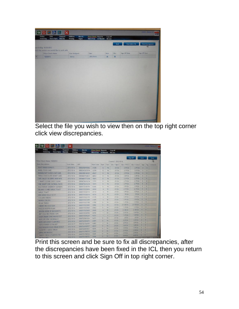| Œ<br>Policy           | ll at<br><b>FAQ</b><br>Support               | ⊪×<br>-Utilities<br>Merch. | Price Check Reports   | ·Log off      |             |                         | 24495 - Berna, KY         |
|-----------------------|----------------------------------------------|----------------------------|-----------------------|---------------|-------------|-------------------------|---------------------------|
| -Ordering             | Store Rotn Mail [8]                          | Pricing<br><b>Signs</b>    | -MicroTrax -S4 WinA/R | <b>IDLoss</b> |             |                         |                           |
|                       |                                              |                            |                       |               | <b>Back</b> | <b>View Entire File</b> | <b>View Discrepancies</b> |
| ek Ending: 10/20/2012 |                                              |                            |                       |               |             |                         | th a                      |
|                       | lect the session you would like to work with |                            |                       |               |             |                         |                           |
|                       | Price Check Name                             | User Assigned              | Date                  | Item          | Disc        | Sign Off Date           | Sign Off User             |
| 10202012              |                                              | danny                      | 2012-10-16            | 36            | 36          |                         |                           |
|                       |                                              |                            |                       |               |             |                         |                           |
|                       |                                              |                            |                       |               |             |                         |                           |
|                       |                                              |                            |                       |               |             |                         |                           |
|                       |                                              |                            |                       |               |             |                         |                           |
|                       |                                              |                            |                       |               |             |                         |                           |
|                       |                                              |                            |                       |               |             |                         |                           |
|                       |                                              |                            |                       |               |             |                         |                           |
|                       |                                              |                            |                       |               |             |                         |                           |
|                       |                                              |                            |                       |               |             |                         |                           |
|                       |                                              |                            |                       |               |             |                         |                           |
|                       |                                              |                            |                       |               |             |                         |                           |
|                       |                                              |                            |                       |               |             |                         |                           |
|                       |                                              |                            |                       |               |             |                         |                           |
|                       |                                              |                            |                       |               |             |                         |                           |
|                       |                                              |                            |                       |               |             |                         |                           |
|                       |                                              |                            |                       |               |             |                         |                           |
|                       |                                              |                            |                       |               |             |                         |                           |
|                       |                                              |                            |                       |               |             |                         |                           |
|                       |                                              |                            |                       |               |             |                         |                           |

Select the file you wish to view then on the top right corner click view discrepancies.

| <b>FAG</b><br>Policy<br><b>Store Rpts</b><br>Ordering | <b>Utilities</b><br><b>Support</b><br><b>Mail [8]</b><br><b>Pricing</b> | dderch.<br>-Signs | <b>Price Check Reports</b><br>MicroTrax S4 WinAR |    |               | Log off<br><b>IDLoss</b> |                    |                                                                    |      |         |       |
|-------------------------------------------------------|-------------------------------------------------------------------------|-------------------|--------------------------------------------------|----|---------------|--------------------------|--------------------|--------------------------------------------------------------------|------|---------|-------|
| Price Check Name: 10202012                            |                                                                         |                   |                                                  |    |               | Created: 2012-10-16      |                    | Sign Off                                                           | Back |         | Print |
| <b>Item Description</b>                               | Scan Date                                                               | <b>UPC</b>        | Item Code                                        |    |               |                          |                    | Dept Class Qty / Sign S Qty / POS S Qty / Corp S Sign Tag Comments |      |         |       |
| YEAST RAISED DONEITS.                                 | 2012-10-16                                                              | 00002056992002    | 31245                                            | 12 | 94            | <b>D1 EA</b>             | 2.99 EA            | 2.99 EA                                                            |      | $8$ $8$ |       |
| <b>ANGEL FOOD CALE</b>                                | 2012-10-16                                                              | 00002412601874    | 22290                                            | 12 | $^{64}$       | <b>B1 EA</b>             | 3.19 E4            | 3.19 EA                                                            | B.   | 119     |       |
| BANANA NUT SLKED LOAF CARE                            | 2012-10-16                                                              | 00002808145301    | 45607                                            | t2 | $\approx$     | 01E4                     | 2.99 EA            | 2.99E4                                                             | ø.   | ø       |       |
| <b>TRIPLE CHOCOLATE BUNDT CAKE</b>                    | 2012-10-16                                                              | 00004069764023    | 44563                                            | 12 | $^{\circ}$    | 01EA                     | 3.49 EA            | 3.49E4                                                             | a    | ø       |       |
| CAFE VALLEY BLUBRRY M/NLM/FN                          | 2012-10-16                                                              | 00004069771204    | 18415                                            | 12 | $Q_{\rm eff}$ | 01 EA                    | 2.29 EA            | 229EA                                                              | ×    | ×       |       |
| 1 SWART COOKE CHOC CHUNK                              | 2012-10-16                                                              | 00004736616214    | 71791                                            | 12 | 98            | 01 84                    | 2.79 EA            | 2.79 EA                                                            | a    | ۰       |       |
| ONE SWART CKE OATMEAL RAISN                           | 2012-10-16                                                              | 00004736616224    | 13815                                            | 12 | <b>Gd</b>     | <b>JO1 EA</b>            | 2.79E4             | 2.79 EA                                                            | B    | ø       |       |
| MILL TIGRAIN SANDWICH SLENDERS                        | 2012-10-16                                                              | 00005172100750    | 62686                                            | 12 | Rd            | <b>B1EA</b>              | 1.99 EA            | 1.99 E4                                                            | ø    | o       |       |
| DELIANO S CHEE GARLIC TOAST                           | 2012-18-16                                                              | 00035193320050    | 20850                                            | 遥  | 93            | <b>G1E4</b>              | 2.19.54            | 2.19 EA                                                            | e    | ۰       |       |
| <b>GARLIC TOAST</b>                                   | 2012-10-16                                                              | 00005193320110    | 20110                                            | 4  | 90            | 01 EA                    | 1.99 FA            | 1.99 EA                                                            | ٥    | а       |       |
| <b>BRN SERVE ROLLS 12 CT</b>                          | 2012-10-16                                                              | 00005193320210    | 20210                                            | 12 | 9,4           | 01 EA                    | 99 E&              | 99 E.A.                                                            | ۰    | ø       |       |
| COLLARD GREENS                                        | 2012-10-16                                                              | 00005193321170    | 21170                                            | 注  | 90            | 01 E4                    | 1.59 EA            | 1.59 EA                                                            | s    | ø       |       |
| <b>PEPPER STIR FRY</b>                                | 2012-10-16                                                              | 00005193321470    | 21470                                            | 4  | 93            | 01 EA                    | 1.99 EA            | 1.99 EA                                                            | o    | o       |       |
| <b>RECAN TWIRLS</b>                                   | 2012-10-16                                                              | 00005193321780    | 21780                                            | 12 | 94            | .01EA                    | 1.19 EA            | 1.19 EA                                                            |      | ø       |       |
| CHERRY PE GOLD LEAF                                   | 2012-10-16                                                              | 00005193323082    | 23082                                            | 12 | 9g            | A3.10.                   | 2/1.00 EA          | 2/1.00 E4                                                          |      | ×       |       |
| ENGLISH MUFFIN PLAIN                                  | 2012-18-16                                                              | 00005193323860    | 23862                                            | 12 | $rac{1}{2}$   | 0154                     | 1.19 EA            | 1.19 EA                                                            |      | ٠       |       |
| <b>STAINING VERDE BF BN BURRITO</b>                   | 2012-10-16                                                              | 00005193325600    | 25600                                            | A  | 90            | ATE                      | 27.88 EA           | 21.88 EA                                                           |      | ٠       |       |
| DET COLA RED FRIDGE 12PK                              | 2012-10-16                                                              | 00005193338700    | 38700                                            | ٠  | 68            | <b>D1EA</b>              | 2.69E4             | 2.69 EA                                                            |      | ۰       |       |
| SOUR CREAM CHIVE MASHD POT                            | 2012-10-16                                                              | 00005193396265    | 96265                                            | ×  | ×             | <b>01 EA</b>             | 1.29 EA            | 1.29 EA                                                            | ۰    | ۰       |       |
| MSPS 2PK PINK SNOWBALLS                               | 2012-10-16                                                              | 00007225001036    | 36291                                            | 12 | 94            | <b>91 EA</b>             | <b>85 E4</b>       | <b>SSEA</b>                                                        | ۰    | ٠<br>×  |       |
| <b>INSES VAR DONUT CLAMSHELL</b>                      | 2012-10-16                                                              | 00007225004293    | 62809                                            | 12 | $^{0.0}$      | 01EA                     | 2.29 EA            | 2.29 EA<br>499 EA                                                  | ٠    | ۰       |       |
| <b><i>VISTA POWDER ULTRA DET</i></b>                  | 2012-10-17                                                              | 00007261366505    | 16432                                            | 2  | 53            | 31 EA                    | 4.99 EA            | 1.89 EA                                                            | ٥    | ۰       |       |
| <b>OLD FASHION SOUR CREAM DONUT</b>                   | 2012-10-16                                                              | 0003526500527     | 45693                                            | 12 | 94.           | 0154                     | 1.89 EA<br>1.99 EA | 1,99 EA                                                            | a    |         |       |
| GUISEPPE 5 GARLIC BREAD                               | 2012-10-16                                                              | 00007684525021    | 18345                                            | 12 | 94            | <b>DTEA</b>              | 3.99 E.E.          | 2.99 EA                                                            | ۰    | ٠       |       |
| APPLE PE SIN BOX                                      | 2012-10-16                                                              | 000037731708710   | 12385                                            | 12 | 44            | A318.                    | 2.99 EA            | 2.99 EA                                                            | ٠    |         |       |
| <b>BAKERY FRESH &amp; PLINPICIN PIES</b>              | 2012-10-16                                                              | 00007731708724    | 13045                                            | 12 | 98            | 91E4                     |                    |                                                                    |      | ۰       |       |

Print this screen and be sure to fix all discrepancies, after the discrepancies have been fixed in the ICL then you return to this screen and click Sign Off in top right corner.